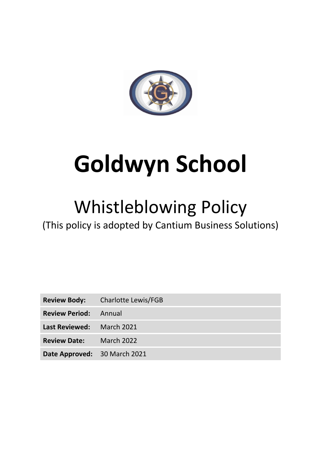

# **Goldwyn School**

## Whistleblowing Policy

(This policy is adopted by Cantium Business Solutions)

|                                | <b>Review Body:</b> Charlotte Lewis/FGB |
|--------------------------------|-----------------------------------------|
| <b>Review Period:</b> Annual   |                                         |
| Last Reviewed: March 2021      |                                         |
| <b>Review Date:</b> March 2022 |                                         |
| Date Approved: 30 March 2021   |                                         |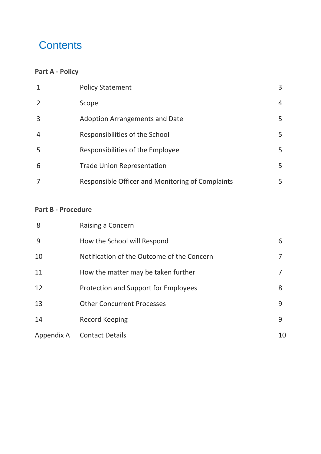## **Contents**

#### **[Part A -](#page-2-0) Policy**

| $\mathbf{1}$   | <b>Policy Statement</b>                          | 3 |
|----------------|--------------------------------------------------|---|
| $\overline{2}$ | Scope                                            | 4 |
| $\overline{3}$ | <b>Adoption Arrangements and Date</b>            | 5 |
| $\overline{4}$ | Responsibilities of the School                   | 5 |
| 5              | Responsibilities of the Employee                 | 5 |
| 6              | <b>Trade Union Representation</b>                | 5 |
|                | Responsible Officer and Monitoring of Complaints | 5 |

#### **Part B - Procedure**

| 8          | Raising a Concern                          |    |
|------------|--------------------------------------------|----|
| 9          | How the School will Respond                | 6  |
| 10         | Notification of the Outcome of the Concern |    |
| 11         | How the matter may be taken further        |    |
| 12         | Protection and Support for Employees       | 8  |
| 13         | <b>Other Concurrent Processes</b>          | 9  |
| 14         | <b>Record Keeping</b>                      | 9  |
| Appendix A | <b>Contact Details</b>                     | 10 |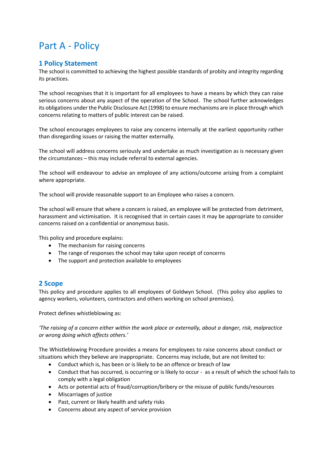## <span id="page-2-0"></span>Part A - Policy

#### <span id="page-2-1"></span>**1 Policy Statement**

The school is committed to achieving the highest possible standards of probity and integrity regarding its practices.

The school recognises that it is important for all employees to have a means by which they can raise serious concerns about any aspect of the operation of the School. The school further acknowledges its obligations under the Public Disclosure Act (1998) to ensure mechanisms are in place through which concerns relating to matters of public interest can be raised.

The school encourages employees to raise any concerns internally at the earliest opportunity rather than disregarding issues or raising the matter externally.

The school will address concerns seriously and undertake as much investigation as is necessary given the circumstances – this may include referral to external agencies.

The school will endeavour to advise an employee of any actions/outcome arising from a complaint where appropriate.

The school will provide reasonable support to an Employee who raises a concern.

The school will ensure that where a concern is raised, an employee will be protected from detriment, harassment and victimisation. It is recognised that in certain cases it may be appropriate to consider concerns raised on a confidential or anonymous basis.

This policy and procedure explains:

- The mechanism for raising concerns
- The range of responses the school may take upon receipt of concerns
- The support and protection available to employees

#### <span id="page-2-2"></span>**2 Scope**

This policy and procedure applies to all employees of Goldwyn School. (This policy also applies to agency workers, volunteers, contractors and others working on school premises).

Protect defines whistleblowing as:

*'The raising of a concern either within the work place or externally, about a danger, risk, malpractice or wrong doing which affects others.'*

The Whistleblowing Procedure provides a means for employees to raise concerns about conduct or situations which they believe are inappropriate. Concerns may include, but are not limited to:

- Conduct which is, has been or is likely to be an offence or breach of law
- Conduct that has occurred, is occurring or is likely to occur as a result of which the school fails to comply with a legal obligation
- Acts or potential acts of fraud/corruption/bribery or the misuse of public funds/resources
- Miscarriages of justice
- Past, current or likely health and safety risks
- Concerns about any aspect of service provision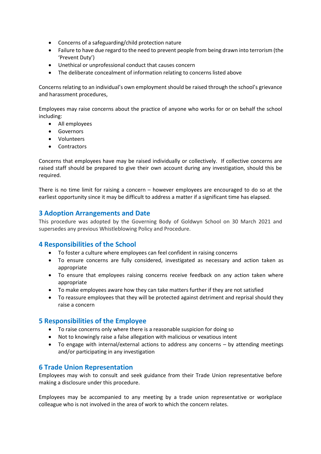- Concerns of a safeguarding/child protection nature
- Failure to have due regard to the need to prevent people from being drawn into terrorism (the 'Prevent Duty')
- Unethical or unprofessional conduct that causes concern
- The deliberate concealment of information relating to concerns listed above

Concerns relating to an individual's own employment should be raised through the school's grievance and harassment procedures,

Employees may raise concerns about the practice of anyone who works for or on behalf the school including:

- All employees
- Governors
- Volunteers
- Contractors

Concerns that employees have may be raised individually or collectively. If collective concerns are raised staff should be prepared to give their own account during any investigation, should this be required.

There is no time limit for raising a concern – however employees are encouraged to do so at the earliest opportunity since it may be difficult to address a matter if a significant time has elapsed.

#### <span id="page-3-0"></span>**3 Adoption Arrangements and Date**

This procedure was adopted by the Governing Body of Goldwyn School on 30 March 2021 and supersedes any previous Whistleblowing Policy and Procedure.

#### <span id="page-3-1"></span>**4 Responsibilities of the School**

- To foster a culture where employees can feel confident in raising concerns
- To ensure concerns are fully considered, investigated as necessary and action taken as appropriate
- To ensure that employees raising concerns receive feedback on any action taken where appropriate
- To make employees aware how they can take matters further if they are not satisfied
- To reassure employees that they will be protected against detriment and reprisal should they raise a concern

#### <span id="page-3-2"></span>**5 Responsibilities of the Employee**

- To raise concerns only where there is a reasonable suspicion for doing so
- Not to knowingly raise a false allegation with malicious or vexatious intent
- To engage with internal/external actions to address any concerns by attending meetings and/or participating in any investigation

#### <span id="page-3-3"></span>**6 Trade Union Representation**

Employees may wish to consult and seek guidance from their Trade Union representative before making a disclosure under this procedure.

Employees may be accompanied to any meeting by a trade union representative or workplace colleague who is not involved in the area of work to which the concern relates.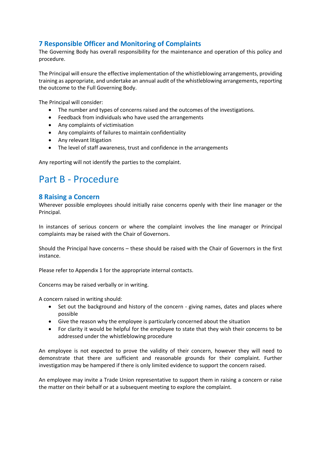#### <span id="page-4-0"></span>**7 Responsible Officer and Monitoring of Complaints**

The Governing Body has overall responsibility for the maintenance and operation of this policy and procedure.

The Principal will ensure the effective implementation of the whistleblowing arrangements, providing training as appropriate, and undertake an annual audit of the whistleblowing arrangements, reporting the outcome to the Full Governing Body.

The Principal will consider:

- The number and types of concerns raised and the outcomes of the investigations.
- Feedback from individuals who have used the arrangements
- Any complaints of victimisation
- Any complaints of failures to maintain confidentiality
- Any relevant litigation
- The level of staff awareness, trust and confidence in the arrangements

Any reporting will not identify the parties to the complaint.

### Part B - Procedure

#### **8 Raising a Concern**

Wherever possible employees should initially raise concerns openly with their line manager or the Principal.

In instances of serious concern or where the complaint involves the line manager or Principal complaints may be raised with the Chair of Governors.

Should the Principal have concerns – these should be raised with the Chair of Governors in the first instance.

Please refer to Appendix 1 for the appropriate internal contacts.

Concerns may be raised verbally or in writing.

A concern raised in writing should:

- Set out the background and history of the concern giving names, dates and places where possible
- Give the reason why the employee is particularly concerned about the situation
- For clarity it would be helpful for the employee to state that they wish their concerns to be addressed under the whistleblowing procedure

An employee is not expected to prove the validity of their concern, however they will need to demonstrate that there are sufficient and reasonable grounds for their complaint. Further investigation may be hampered if there is only limited evidence to support the concern raised.

An employee may invite a Trade Union representative to support them in raising a concern or raise the matter on their behalf or at a subsequent meeting to explore the complaint.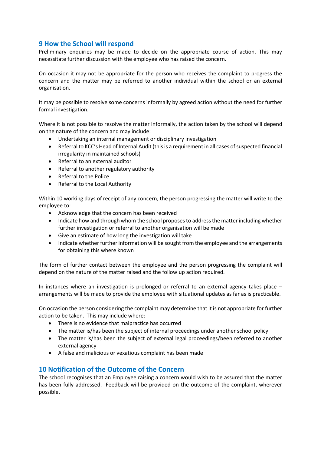#### <span id="page-5-0"></span>**9 How the School will respond**

Preliminary enquiries may be made to decide on the appropriate course of action. This may necessitate further discussion with the employee who has raised the concern.

On occasion it may not be appropriate for the person who receives the complaint to progress the concern and the matter may be referred to another individual within the school or an external organisation.

It may be possible to resolve some concerns informally by agreed action without the need for further formal investigation.

Where it is not possible to resolve the matter informally, the action taken by the school will depend on the nature of the concern and may include:

- Undertaking an internal management or disciplinary investigation
- Referral to KCC's Head of Internal Audit (this is a requirement in all cases of suspected financial irregularity in maintained schools)
- Referral to an external auditor
- Referral to another regulatory authority
- Referral to the Police
- Referral to the Local Authority

Within 10 working days of receipt of any concern, the person progressing the matter will write to the employee to:

- Acknowledge that the concern has been received
- Indicate how and through whom the school proposes to address the matter including whether further investigation or referral to another organisation will be made
- Give an estimate of how long the investigation will take
- Indicate whether further information will be sought from the employee and the arrangements for obtaining this where known

The form of further contact between the employee and the person progressing the complaint will depend on the nature of the matter raised and the follow up action required.

In instances where an investigation is prolonged or referral to an external agency takes place – arrangements will be made to provide the employee with situational updates as far as is practicable.

On occasion the person considering the complaint may determine that it is not appropriate for further action to be taken. This may include where:

- There is no evidence that malpractice has occurred
- The matter is/has been the subject of internal proceedings under another school policy
- The matter is/has been the subject of external legal proceedings/been referred to another external agency
- A false and malicious or vexatious complaint has been made

#### <span id="page-5-1"></span>**10 Notification of the Outcome of the Concern**

The school recognises that an Employee raising a concern would wish to be assured that the matter has been fully addressed. Feedback will be provided on the outcome of the complaint, wherever possible.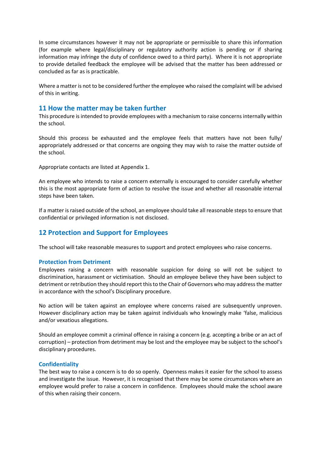In some circumstances however it may not be appropriate or permissible to share this information (for example where legal/disciplinary or regulatory authority action is pending or if sharing information may infringe the duty of confidence owed to a third party). Where it is not appropriate to provide detailed feedback the employee will be advised that the matter has been addressed or concluded as far as is practicable.

Where a matter is not to be considered further the employee who raised the complaint will be advised of this in writing.

#### <span id="page-6-0"></span>**11 How the matter may be taken further**

This procedure is intended to provide employees with a mechanism to raise concerns internally within the school.

Should this process be exhausted and the employee feels that matters have not been fully/ appropriately addressed or that concerns are ongoing they may wish to raise the matter outside of the school.

Appropriate contacts are listed at Appendix 1.

An employee who intends to raise a concern externally is encouraged to consider carefully whether this is the most appropriate form of action to resolve the issue and whether all reasonable internal steps have been taken.

If a matter is raised outside of the school, an employee should take all reasonable steps to ensure that confidential or privileged information is not disclosed.

#### <span id="page-6-1"></span>**12 Protection and Support for Employees**

The school will take reasonable measures to support and protect employees who raise concerns.

#### **Protection from Detriment**

Employees raising a concern with reasonable suspicion for doing so will not be subject to discrimination, harassment or victimisation. Should an employee believe they have been subject to detriment or retribution they should report this to the Chair of Governors who may address the matter in accordance with the school's Disciplinary procedure.

No action will be taken against an employee where concerns raised are subsequently unproven. However disciplinary action may be taken against individuals who knowingly make 'false, malicious and/or vexatious allegations.

Should an employee commit a criminal offence in raising a concern (e.g. accepting a bribe or an act of corruption) – protection from detriment may be lost and the employee may be subject to the school's disciplinary procedures.

#### **Confidentiality**

The best way to raise a concern is to do so openly. Openness makes it easier for the school to assess and investigate the issue. However, it is recognised that there may be some circumstances where an employee would prefer to raise a concern in confidence. Employees should make the school aware of this when raising their concern.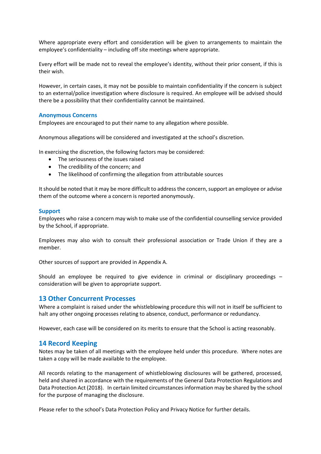Where appropriate every effort and consideration will be given to arrangements to maintain the employee's confidentiality – including off site meetings where appropriate.

Every effort will be made not to reveal the employee's identity, without their prior consent, if this is their wish.

However, in certain cases, it may not be possible to maintain confidentiality if the concern is subject to an external/police investigation where disclosure is required. An employee will be advised should there be a possibility that their confidentiality cannot be maintained.

#### **Anonymous Concerns**

Employees are encouraged to put their name to any allegation where possible.

Anonymous allegations will be considered and investigated at the school's discretion.

In exercising the discretion, the following factors may be considered:

- The seriousness of the issues raised
- The credibility of the concern; and
- The likelihood of confirming the allegation from attributable sources

It should be noted that it may be more difficult to address the concern, support an employee or advise them of the outcome where a concern is reported anonymously.

#### **Support**

Employees who raise a concern may wish to make use of the confidential counselling service provided by the School, if appropriate.

Employees may also wish to consult their professional association or Trade Union if they are a member.

Other sources of support are provided in Appendix A.

Should an employee be required to give evidence in criminal or disciplinary proceedings – consideration will be given to appropriate support.

#### <span id="page-7-0"></span>**13 Other Concurrent Processes**

Where a complaint is raised under the whistleblowing procedure this will not in itself be sufficient to halt any other ongoing processes relating to absence, conduct, performance or redundancy.

However, each case will be considered on its merits to ensure that the School is acting reasonably.

#### **14 Record Keeping**

Notes may be taken of all meetings with the employee held under this procedure. Where notes are taken a copy will be made available to the employee.

All records relating to the management of whistleblowing disclosures will be gathered, processed, held and shared in accordance with the requirements of the General Data Protection Regulations and Data Protection Act (2018). In certain limited circumstances information may be shared by the school for the purpose of managing the disclosure.

Please refer to the school's Data Protection Policy and Privacy Notice for further details.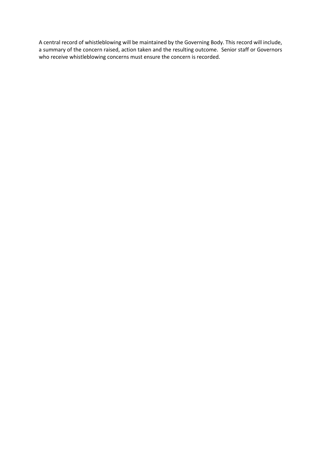A central record of whistleblowing will be maintained by the Governing Body. This record will include, a summary of the concern raised, action taken and the resulting outcome. Senior staff or Governors who receive whistleblowing concerns must ensure the concern is recorded.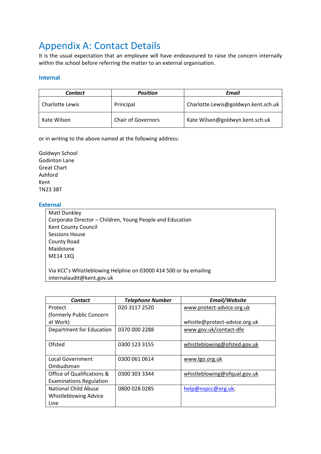## <span id="page-9-0"></span>Appendix A: Contact Details

It is the usual expectation that an employee will have endeavoured to raise the concern internally within the school before referring the matter to an external organisation.

#### **Internal**

| Contact         | <b>Position</b>           | Email                               |
|-----------------|---------------------------|-------------------------------------|
| Charlotte Lewis | Principal                 | Charlotte.Lewis@goldwyn.kent.sch.uk |
| Kate Wilson     | <b>Chair of Governors</b> | Kate Wilson@goldwyn.kent.sch.uk     |

or in writing to the above named at the following address:

Goldwyn School Godinton Lane Great Chart Ashford Kent TN23 3BT

#### **External**

Matt Dunkley Corporate Director – Children, Young People and Education Kent County Council Sessions House County Road Maidstone ME14 1XQ

Via KCC's Whistleblowing Helpline on 03000 414 500 or by emailing internalaudit@kent.gov.uk

| <b>Contact</b>                 | <b>Telephone Number</b> | Email/Website                 |
|--------------------------------|-------------------------|-------------------------------|
| Protect                        | 020 3117 2520           | www.protect-advice.org.uk     |
| (formerly Public Concern       |                         |                               |
| at Work)                       |                         | whistle@protect-advice.org.uk |
| Department for Education       | 0370 000 2288           | www.gov.uk/contact-dfe        |
|                                |                         |                               |
| Ofsted                         | 0300 123 3155           | whistleblowing@ofsted.gov.uk  |
|                                |                         |                               |
| Local Government               | 0300 061 0614           | www.lgo.org.uk                |
| Ombudsman                      |                         |                               |
| Office of Qualifications &     | 0300 303 3344           | whistleblowing@ofqual.gov.uk  |
| <b>Examinations Regulation</b> |                         |                               |
| National Child Abuse           | 0800 028 0285           | help@nspcc@org.uk;            |
| <b>Whistleblowing Advice</b>   |                         |                               |
| Line                           |                         |                               |